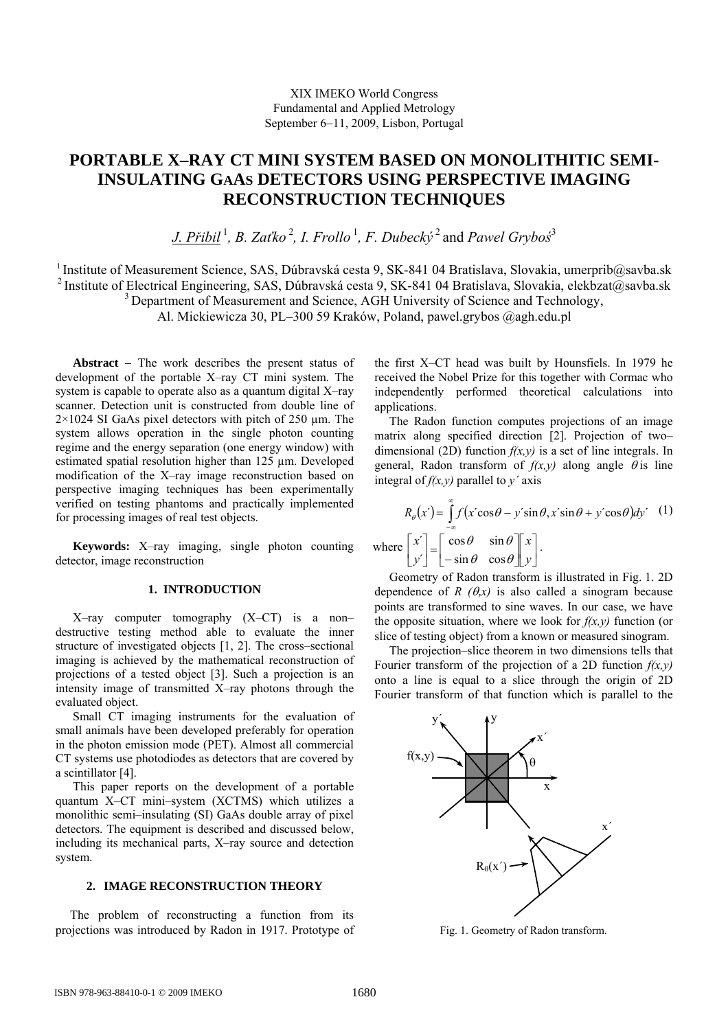# **PORTABLE X–RAY CT MINI SYSTEM BASED ON MONOLITHITIC SEMI-INSULATING GAAS DETECTORS USING PERSPECTIVE IMAGING RECONSTRUCTION TECHNIQUES**

*J. Přibil* <sup>1</sup> *, B. Zaťko* <sup>2</sup> *, I. Frollo* <sup>1</sup> *, F. Dubecký* 2 and *Pawel Gryboś* 3

<sup>1</sup> Institute of Measurement Science, SAS, Dúbravská cesta 9, SK-841 04 Bratislava, Slovakia, umerprib@savba.sk <sup>2</sup> Institute of Electrical Engineering, SAS, Dúbravská cesta 9, SK-841 04 Bratislava, Slovakia, elekbzat@savba.sk <sup>3</sup> Department of Measurement and Science, AGH University of Science and Technology, Al. Mickiewicza 30, PL–300 59 Kraków, Poland, pawel.grybos @agh.edu.pl

**Abstract** − The work describes the present status of development of the portable X–ray CT mini system. The system is capable to operate also as a quantum digital X–ray scanner. Detection unit is constructed from double line of  $2\times1024$  SI GaAs pixel detectors with pitch of 250  $\mu$ m. The system allows operation in the single photon counting regime and the energy separation (one energy window) with estimated spatial resolution higher than 125 µm. Developed modification of the X–ray image reconstruction based on perspective imaging techniques has been experimentally verified on testing phantoms and practically implemented for processing images of real test objects.

**Keywords:** X–ray imaging, single photon counting detector, image reconstruction

#### **1. INTRODUCTION**

X–ray computer tomography (X–CT) is a non– destructive testing method able to evaluate the inner structure of investigated objects [1, 2]. The cross–sectional imaging is achieved by the mathematical reconstruction of projections of a tested object [3]. Such a projection is an intensity image of transmitted X–ray photons through the evaluated object.

Small CT imaging instruments for the evaluation of small animals have been developed preferably for operation in the photon emission mode (PET). Almost all commercial CT systems use photodiodes as detectors that are covered by a scintillator [4].

This paper reports on the development of a portable quantum X–CT mini–system (XCTMS) which utilizes a monolithic semi–insulating (SI) GaAs double array of pixel detectors. The equipment is described and discussed below, including its mechanical parts, X–ray source and detection system.

#### **2. IMAGE RECONSTRUCTION THEORY**

The problem of reconstructing a function from its projections was introduced by Radon in 1917. Prototype of the first X–CT head was built by Hounsfiels. In 1979 he received the Nobel Prize for this together with Cormac who independently performed theoretical calculations into applications.

The Radon function computes projections of an image matrix along specified direction [2]. Projection of two– dimensional (2D) function *f(x,y)* is a set of line integrals. In general, Radon transform of  $f(x, y)$  along angle  $\theta$  is line integral of *f(x,y)* parallel to *y´* axis

$$
R_{\theta}(x) = \int_{-\infty}^{\infty} f(x' \cos \theta - y' \sin \theta, x' \sin \theta + y' \cos \theta) dy'
$$
 (1)  
where  $\begin{bmatrix} x' \\ y' \end{bmatrix} = \begin{bmatrix} \cos \theta & \sin \theta \\ -\sin \theta & \cos \theta \end{bmatrix} \begin{bmatrix} x \\ y \end{bmatrix}.$ 

Geometry of Radon transform is illustrated in Fig. 1. 2D dependence of *R*  $(\theta, x)$  is also called a sinogram because points are transformed to sine waves. In our case, we have the opposite situation, where we look for  $f(x, y)$  function (or slice of testing object) from a known or measured sinogram.

The projection–slice theorem in two dimensions tells that Fourier transform of the projection of a 2D function *f(x,y)* onto a line is equal to a slice through the origin of 2D Fourier transform of that function which is parallel to the



Fig. 1. Geometry of Radon transform.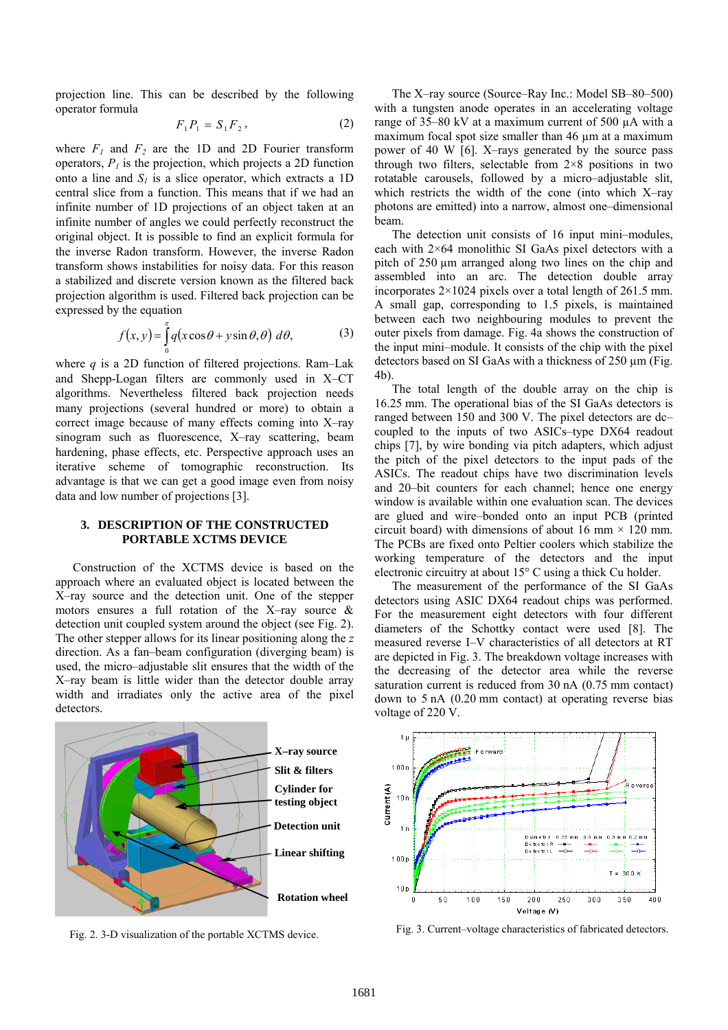projection line. This can be described by the following operator formula

$$
F_1 P_1 = S_1 F_2, \t\t(2)
$$

where  $F_1$  and  $F_2$  are the 1D and 2D Fourier transform operators,  $P<sub>I</sub>$  is the projection, which projects a 2D function onto a line and  $S_l$  is a slice operator, which extracts a 1D central slice from a function. This means that if we had an infinite number of 1D projections of an object taken at an infinite number of angles we could perfectly reconstruct the original object. It is possible to find an explicit formula for the inverse Radon transform. However, the inverse Radon transform shows instabilities for noisy data. For this reason a stabilized and discrete version known as the filtered back projection algorithm is used. Filtered back projection can be expressed by the equation

$$
f(x, y) = \int_{0}^{\pi} q(x \cos \theta + y \sin \theta, \theta) \, d\theta,\tag{3}
$$

where *q* is a 2D function of filtered projections. Ram–Lak and Shepp-Logan filters are commonly used in X–CT algorithms. Nevertheless filtered back projection needs many projections (several hundred or more) to obtain a correct image because of many effects coming into X–ray sinogram such as fluorescence, X–ray scattering, beam hardening, phase effects, etc. Perspective approach uses an iterative scheme of tomographic reconstruction. Its advantage is that we can get a good image even from noisy data and low number of projections [3].

### **3. DESCRIPTION OF THE CONSTRUCTED PORTABLE XCTMS DEVICE**

Construction of the XCTMS device is based on the approach where an evaluated object is located between the X–ray source and the detection unit. One of the stepper motors ensures a full rotation of the X–ray source & detection unit coupled system around the object (see Fig. 2). The other stepper allows for its linear positioning along the *z* direction. As a fan–beam configuration (diverging beam) is used, the micro–adjustable slit ensures that the width of the X–ray beam is little wider than the detector double array width and irradiates only the active area of the pixel detectors.



Fig. 2. 3-D visualization of the portable XCTMS device.

The X–ray source (Source–Ray Inc.: Model SB–80–500) with a tungsten anode operates in an accelerating voltage range of 35–80 kV at a maximum current of 500 µA with a maximum focal spot size smaller than 46  $\mu$ m at a maximum power of 40 W [6]. X–rays generated by the source pass through two filters, selectable from  $2\times8$  positions in two rotatable carousels, followed by a micro–adjustable slit, which restricts the width of the cone (into which X–ray photons are emitted) into a narrow, almost one–dimensional beam.

The detection unit consists of 16 input mini–modules, each with 2×64 monolithic SI GaAs pixel detectors with a pitch of 250 µm arranged along two lines on the chip and assembled into an arc. The detection double array incorporates 2×1024 pixels over a total length of 261.5 mm. A small gap, corresponding to 1.5 pixels, is maintained between each two neighbouring modules to prevent the outer pixels from damage. Fig. 4a shows the construction of the input mini–module. It consists of the chip with the pixel detectors based on SI GaAs with a thickness of  $250 \mu m$  (Fig. 4b).

The total length of the double array on the chip is 16.25 mm. The operational bias of the SI GaAs detectors is ranged between 150 and 300 V. The pixel detectors are dc– coupled to the inputs of two ASICs–type DX64 readout chips [7], by wire bonding via pitch adapters, which adjust the pitch of the pixel detectors to the input pads of the ASICs. The readout chips have two discrimination levels and 20–bit counters for each channel; hence one energy window is available within one evaluation scan. The devices are glued and wire–bonded onto an input PCB (printed circuit board) with dimensions of about 16 mm  $\times$  120 mm. The PCBs are fixed onto Peltier coolers which stabilize the working temperature of the detectors and the input electronic circuitry at about 15° C using a thick Cu holder.

The measurement of the performance of the SI GaAs detectors using ASIC DX64 readout chips was performed. For the measurement eight detectors with four different diameters of the Schottky contact were used [8]. The measured reverse I–V characteristics of all detectors at RT are depicted in Fig. 3. The breakdown voltage increases with the decreasing of the detector area while the reverse saturation current is reduced from 30 nA (0.75 mm contact) down to 5 nA (0.20 mm contact) at operating reverse bias voltage of 220 V.



Fig. 3. Current–voltage characteristics of fabricated detectors.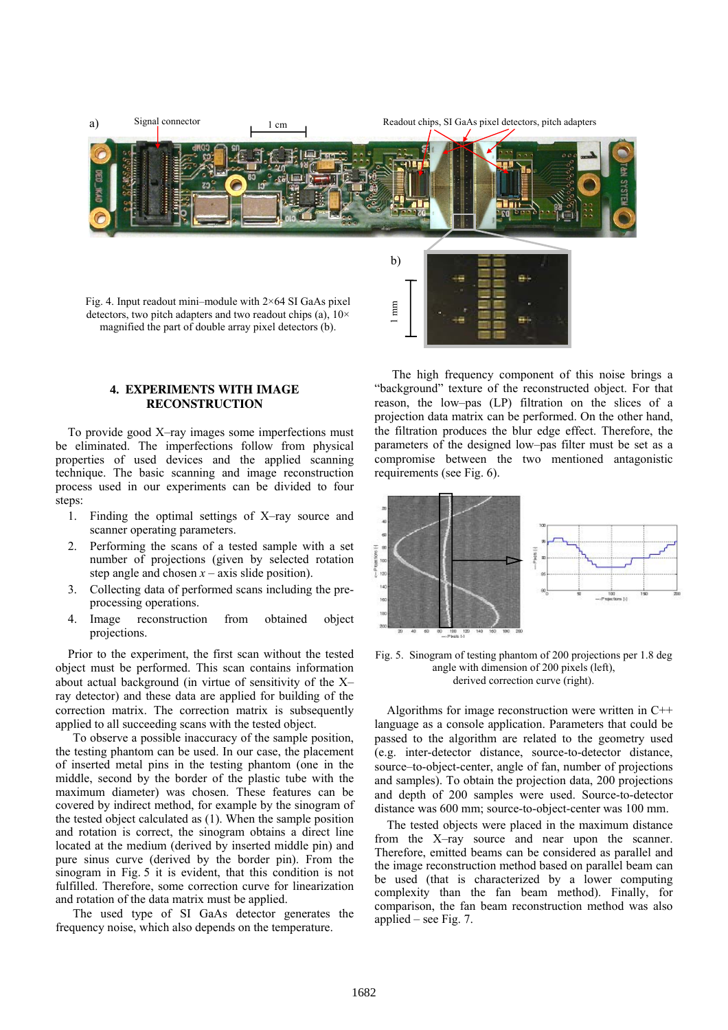

## **4. EXPERIMENTS WITH IMAGE RECONSTRUCTION**

To provide good X–ray images some imperfections must be eliminated. The imperfections follow from physical properties of used devices and the applied scanning technique. The basic scanning and image reconstruction process used in our experiments can be divided to four steps:

- 1. Finding the optimal settings of X–ray source and scanner operating parameters.
- 2. Performing the scans of a tested sample with a set number of projections (given by selected rotation step angle and chosen  $x - axis$  slide position).
- 3. Collecting data of performed scans including the preprocessing operations.
- 4. Image reconstruction from obtained object projections.

Prior to the experiment, the first scan without the tested object must be performed. This scan contains information about actual background (in virtue of sensitivity of the X– ray detector) and these data are applied for building of the correction matrix. The correction matrix is subsequently applied to all succeeding scans with the tested object.

To observe a possible inaccuracy of the sample position, the testing phantom can be used. In our case, the placement of inserted metal pins in the testing phantom (one in the middle, second by the border of the plastic tube with the maximum diameter) was chosen. These features can be covered by indirect method, for example by the sinogram of the tested object calculated as (1). When the sample position and rotation is correct, the sinogram obtains a direct line located at the medium (derived by inserted middle pin) and pure sinus curve (derived by the border pin). From the sinogram in Fig. 5 it is evident, that this condition is not fulfilled. Therefore, some correction curve for linearization and rotation of the data matrix must be applied.

The used type of SI GaAs detector generates the frequency noise, which also depends on the temperature.

The high frequency component of this noise brings a "background" texture of the reconstructed object. For that reason, the low–pas (LP) filtration on the slices of a projection data matrix can be performed. On the other hand, the filtration produces the blur edge effect. Therefore, the parameters of the designed low–pas filter must be set as a compromise between the two mentioned antagonistic requirements (see Fig. 6).



Fig. 5. Sinogram of testing phantom of 200 projections per 1.8 deg angle with dimension of 200 pixels (left), derived correction curve (right).

Algorithms for image reconstruction were written in C++ language as a console application. Parameters that could be passed to the algorithm are related to the geometry used (e.g. inter-detector distance, source-to-detector distance, source–to-object-center, angle of fan, number of projections and samples). To obtain the projection data, 200 projections and depth of 200 samples were used. Source-to-detector distance was 600 mm; source-to-object-center was 100 mm.

The tested objects were placed in the maximum distance from the X–ray source and near upon the scanner. Therefore, emitted beams can be considered as parallel and the image reconstruction method based on parallel beam can be used (that is characterized by a lower computing complexity than the fan beam method). Finally, for comparison, the fan beam reconstruction method was also applied – see Fig. 7.